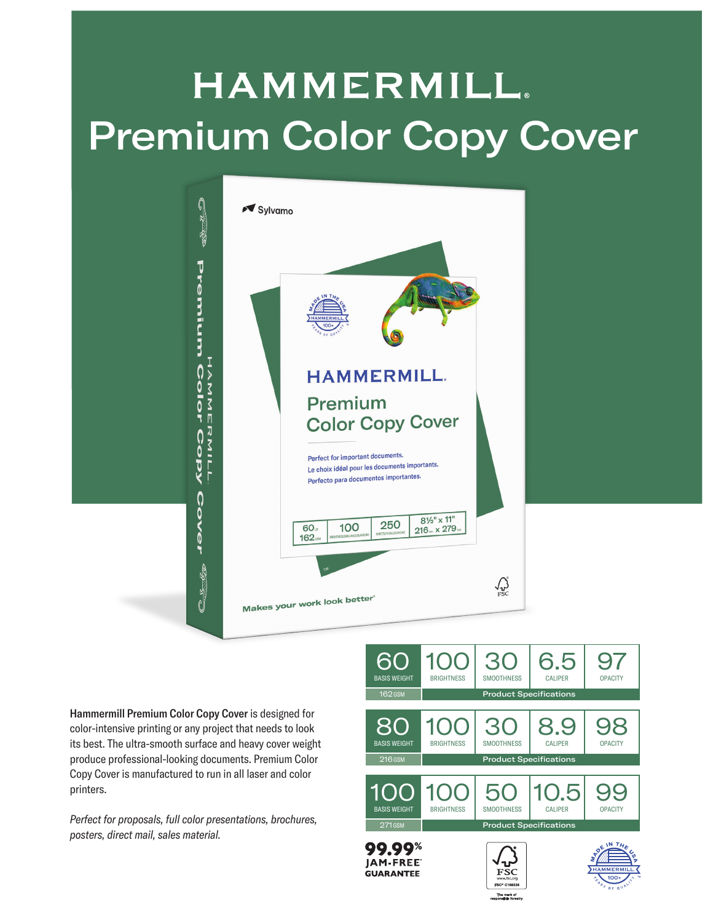## **HAMMERMILL.** Premium Color Copy Cover



Hammermill Premium Color Copy Cover is designed for color-intensive printing or any project that needs to look its best. The ultra-smooth surface and heavy cover weight produce professional-looking documents. Premium Color Copy Cover is manufactured to run in all laser and color printers.

*Perfect for proposals, full color presentations, brochures, posters, direct mail, sales material.*